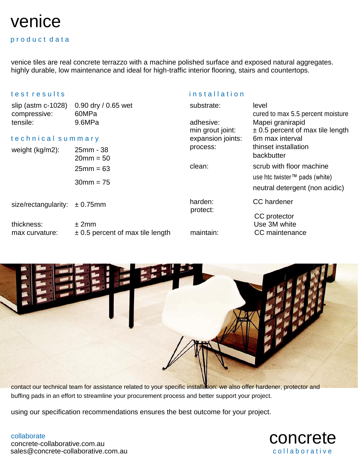# venice

## product data

venice tiles are real concrete terrazzo with a machine polished surface and exposed natural aggregates. highly durable, low maintenance and ideal for high-traffic interior flooring, stairs and countertops.

## t e s t r e s u l t s i n s t a l l a t i o n s t a l l a t i o n s t a l l a t i o n s t a l l a t i o n s t a l l a t i o n s t a l l a t i o n s t a l l a t i o n s t a l l a t i o n s t a l l a t i o n s t a l l a t i

| slip (astm $c-1028$ )<br>compressive:<br>tensile: | 0.90 dry / 0.65 wet<br>60MPa<br>9.6MPa        | substrate:<br>adhesive:<br>min grout joint: | level<br>cured to max 5.5 percent moisture<br>Mapei granirapid<br>$\pm$ 0.5 percent of max tile length                            |
|---------------------------------------------------|-----------------------------------------------|---------------------------------------------|-----------------------------------------------------------------------------------------------------------------------------------|
| technical summary                                 |                                               | expansion joints:                           | 6m max interval                                                                                                                   |
| weight (kg/m2):                                   | 25mm - 38<br>$20mm = 50$                      | process:                                    | thinset installation<br>backbutter<br>scrub with floor machine<br>use htc twister™ pads (white)<br>neutral detergent (non acidic) |
|                                                   | $25mm = 63$                                   | clean:                                      |                                                                                                                                   |
|                                                   | $30mm = 75$                                   |                                             |                                                                                                                                   |
| size/rectangularity:                              | $± 0.75$ mm                                   | harden:<br>protect:<br>maintain:            | CC hardener                                                                                                                       |
| thickness:<br>max curvature:                      | ± 2mm<br>$\pm$ 0.5 percent of max tile length |                                             | CC protector<br>Use 3M white<br>CC maintenance                                                                                    |

contact our technical team for assistance related to your specific installation. we also offer hardener, protector and buffing pads in an effort to streamline your procurement process and better support your project.

using our specification recommendations ensures the best outcome for your project.